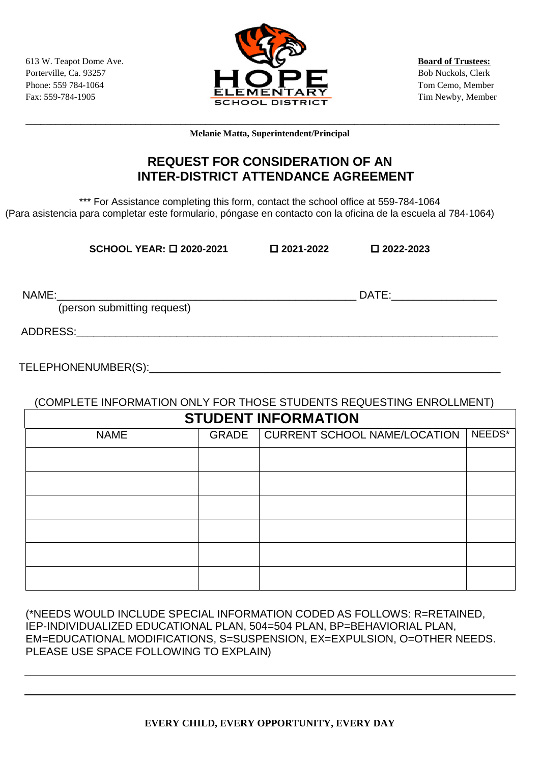

**\_\_\_\_\_\_\_\_\_\_\_\_\_\_\_\_\_\_\_\_\_\_\_\_\_\_\_\_\_\_\_\_\_\_\_\_\_\_\_\_\_\_\_\_\_\_\_\_\_\_\_\_\_\_\_\_\_\_\_\_\_\_\_\_\_\_\_\_\_\_\_\_\_\_\_\_\_\_\_\_\_\_\_\_\_\_\_\_\_\_\_\_\_\_\_ Melanie Matta, Superintendent/Principal**

## **REQUEST FOR CONSIDERATION OF AN INTER-DISTRICT ATTENDANCE AGREEMENT**

\*\*\* For Assistance completing this form, contact the school office at 559-784-1064 (Para asistencia para completar este formulario, póngase en contacto con la oficina de la escuela al 784-1064)

**SCHOOL YEAR: 2020-2021 2021-2022 2022-2023** 

NAME:\_\_\_\_\_\_\_\_\_\_\_\_\_\_\_\_\_\_\_\_\_\_\_\_\_\_\_\_\_\_\_\_\_\_\_\_\_\_\_\_\_\_\_\_\_\_\_\_\_\_\_\_\_\_ DATE:\_\_\_\_\_\_\_\_\_\_\_\_\_\_\_\_\_\_\_

(person submitting request)

ADDRESS:\_\_\_\_\_\_\_\_\_\_\_\_\_\_\_\_\_\_\_\_\_\_\_\_\_\_\_\_\_\_\_\_\_\_\_\_\_\_\_\_\_\_\_\_\_\_\_\_\_\_\_\_\_\_\_\_\_\_\_\_\_\_\_\_\_\_\_\_\_\_\_\_\_\_\_\_

TELEPHONENUMBER(S):\_\_\_\_\_\_\_\_\_\_\_\_\_\_\_\_\_\_\_\_\_\_\_\_\_\_\_\_\_\_\_\_\_\_\_\_\_\_\_\_\_\_\_\_\_\_\_\_\_\_\_\_\_\_\_\_\_\_

## (COMPLETE INFORMATION ONLY FOR THOSE STUDENTS REQUESTING ENROLLMENT) **STUDENT INFORMATION**

| <b><i>SIUDENI INFURNIAIIUN</i></b> |  |                                      |        |  |
|------------------------------------|--|--------------------------------------|--------|--|
| <b>NAME</b>                        |  | GRADE   CURRENT SCHOOL NAME/LOCATION | NEEDS* |  |
|                                    |  |                                      |        |  |
|                                    |  |                                      |        |  |
|                                    |  |                                      |        |  |
|                                    |  |                                      |        |  |
|                                    |  |                                      |        |  |
|                                    |  |                                      |        |  |

## (\*NEEDS WOULD INCLUDE SPECIAL INFORMATION CODED AS FOLLOWS: R=RETAINED, IEP-INDIVIDUALIZED EDUCATIONAL PLAN, 504=504 PLAN, BP=BEHAVIORIAL PLAN, EM=EDUCATIONAL MODIFICATIONS, S=SUSPENSION, EX=EXPULSION, O=OTHER NEEDS. PLEASE USE SPACE FOLLOWING TO EXPLAIN)